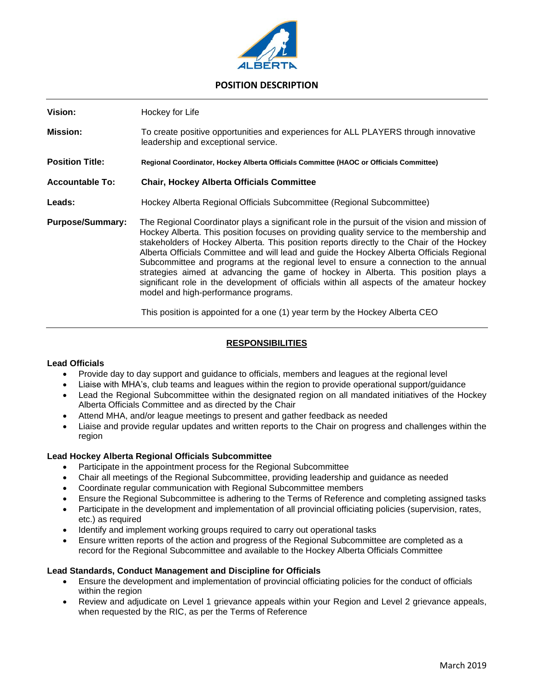

# **POSITION DESCRIPTION**

| Vision:                 | Hockey for Life                                                                                                                                                                                                                                                                                                                                                                                                                                                                                                                                                                                                                                                                                        |
|-------------------------|--------------------------------------------------------------------------------------------------------------------------------------------------------------------------------------------------------------------------------------------------------------------------------------------------------------------------------------------------------------------------------------------------------------------------------------------------------------------------------------------------------------------------------------------------------------------------------------------------------------------------------------------------------------------------------------------------------|
| <b>Mission:</b>         | To create positive opportunities and experiences for ALL PLAYERS through innovative<br>leadership and exceptional service.                                                                                                                                                                                                                                                                                                                                                                                                                                                                                                                                                                             |
| <b>Position Title:</b>  | Regional Coordinator, Hockey Alberta Officials Committee (HAOC or Officials Committee)                                                                                                                                                                                                                                                                                                                                                                                                                                                                                                                                                                                                                 |
| <b>Accountable To:</b>  | <b>Chair, Hockey Alberta Officials Committee</b>                                                                                                                                                                                                                                                                                                                                                                                                                                                                                                                                                                                                                                                       |
| Leads:                  | Hockey Alberta Regional Officials Subcommittee (Regional Subcommittee)                                                                                                                                                                                                                                                                                                                                                                                                                                                                                                                                                                                                                                 |
| <b>Purpose/Summary:</b> | The Regional Coordinator plays a significant role in the pursuit of the vision and mission of<br>Hockey Alberta. This position focuses on providing quality service to the membership and<br>stakeholders of Hockey Alberta. This position reports directly to the Chair of the Hockey<br>Alberta Officials Committee and will lead and guide the Hockey Alberta Officials Regional<br>Subcommittee and programs at the regional level to ensure a connection to the annual<br>strategies aimed at advancing the game of hockey in Alberta. This position plays a<br>significant role in the development of officials within all aspects of the amateur hockey<br>model and high-performance programs. |

This position is appointed for a one (1) year term by the Hockey Alberta CEO

## **RESPONSIBILITIES**

### **Lead Officials**

- Provide day to day support and guidance to officials, members and leagues at the regional level
- Liaise with MHA's, club teams and leagues within the region to provide operational support/guidance
- Lead the Regional Subcommittee within the designated region on all mandated initiatives of the Hockey Alberta Officials Committee and as directed by the Chair
- Attend MHA, and/or league meetings to present and gather feedback as needed
- Liaise and provide regular updates and written reports to the Chair on progress and challenges within the region

### **Lead Hockey Alberta Regional Officials Subcommittee**

- Participate in the appointment process for the Regional Subcommittee
- Chair all meetings of the Regional Subcommittee, providing leadership and guidance as needed
- Coordinate regular communication with Regional Subcommittee members
- Ensure the Regional Subcommittee is adhering to the Terms of Reference and completing assigned tasks
- Participate in the development and implementation of all provincial officiating policies (supervision, rates, etc.) as required
- Identify and implement working groups required to carry out operational tasks
- Ensure written reports of the action and progress of the Regional Subcommittee are completed as a record for the Regional Subcommittee and available to the Hockey Alberta Officials Committee

### **Lead Standards, Conduct Management and Discipline for Officials**

- Ensure the development and implementation of provincial officiating policies for the conduct of officials within the region
- Review and adjudicate on Level 1 grievance appeals within your Region and Level 2 grievance appeals, when requested by the RIC, as per the Terms of Reference